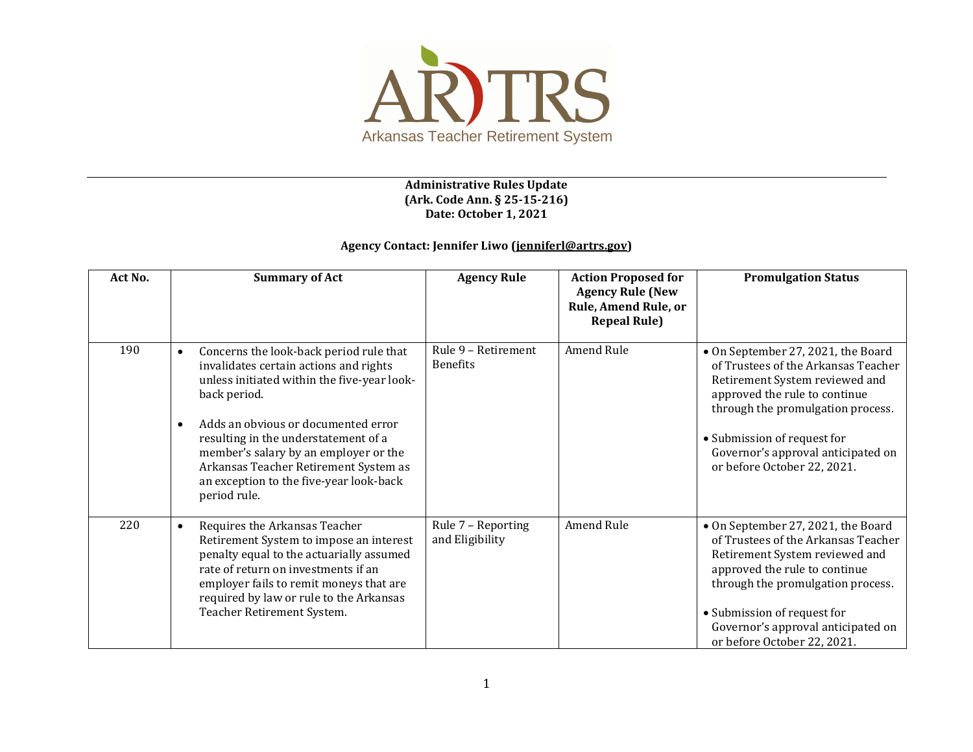

## **Administrative Rules Update (Ark. Code Ann. § 25-15-216) Date: October 1, 2021**

## **Agency Contact: Jennifer Liwo [\(jenniferl@artrs.gov\)](mailto:jenniferl@artrs.gov)**

| Act No. | <b>Summary of Act</b>                                                                                                                                                                                                                                                                                                                                                                                  | <b>Agency Rule</b>                     | <b>Action Proposed for</b><br><b>Agency Rule (New</b><br>Rule, Amend Rule, or<br><b>Repeal Rule)</b> | <b>Promulgation Status</b>                                                                                                                                                                                                                                                            |
|---------|--------------------------------------------------------------------------------------------------------------------------------------------------------------------------------------------------------------------------------------------------------------------------------------------------------------------------------------------------------------------------------------------------------|----------------------------------------|------------------------------------------------------------------------------------------------------|---------------------------------------------------------------------------------------------------------------------------------------------------------------------------------------------------------------------------------------------------------------------------------------|
| 190     | Concerns the look-back period rule that<br>$\bullet$<br>invalidates certain actions and rights<br>unless initiated within the five-year look-<br>back period.<br>Adds an obvious or documented error<br>$\bullet$<br>resulting in the understatement of a<br>member's salary by an employer or the<br>Arkansas Teacher Retirement System as<br>an exception to the five-year look-back<br>period rule. | Rule 9 - Retirement<br><b>Benefits</b> | Amend Rule                                                                                           | • On September 27, 2021, the Board<br>of Trustees of the Arkansas Teacher<br>Retirement System reviewed and<br>approved the rule to continue<br>through the promulgation process.<br>• Submission of request for<br>Governor's approval anticipated on<br>or before October 22, 2021. |
| 220     | Requires the Arkansas Teacher<br>$\bullet$<br>Retirement System to impose an interest<br>penalty equal to the actuarially assumed<br>rate of return on investments if an<br>employer fails to remit moneys that are<br>required by law or rule to the Arkansas<br>Teacher Retirement System.                                                                                                           | Rule 7 - Reporting<br>and Eligibility  | Amend Rule                                                                                           | • On September 27, 2021, the Board<br>of Trustees of the Arkansas Teacher<br>Retirement System reviewed and<br>approved the rule to continue<br>through the promulgation process.<br>• Submission of request for<br>Governor's approval anticipated on<br>or before October 22, 2021. |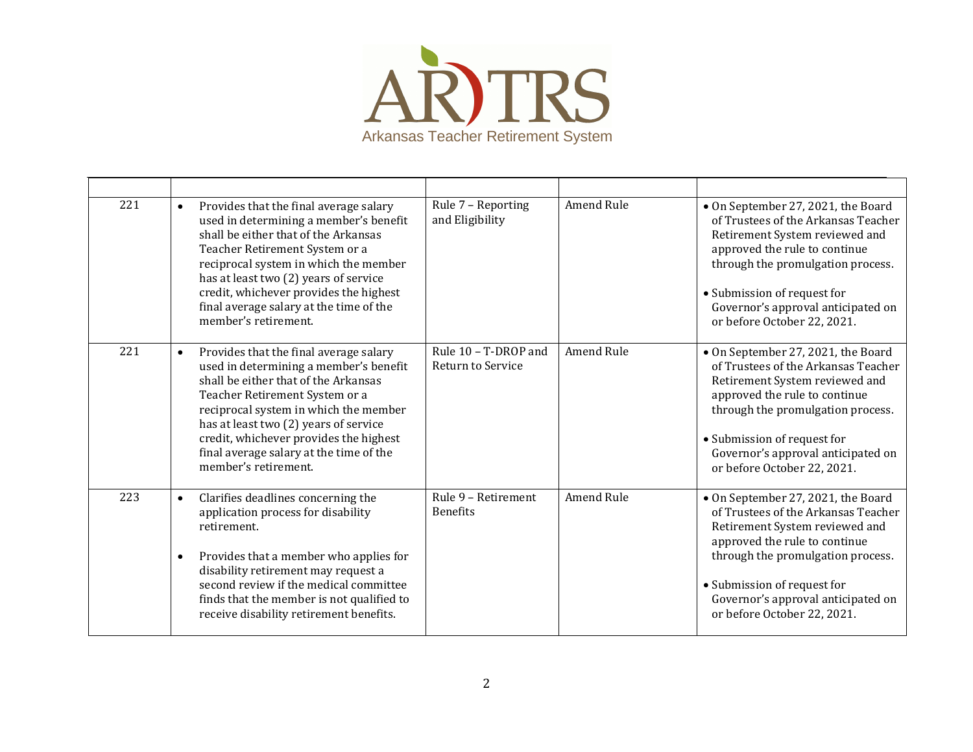

| 221 | Provides that the final average salary<br>$\bullet$<br>used in determining a member's benefit<br>shall be either that of the Arkansas<br>Teacher Retirement System or a<br>reciprocal system in which the member<br>has at least two (2) years of service<br>credit, whichever provides the highest<br>final average salary at the time of the<br>member's retirement. | Rule 7 - Reporting<br>and Eligibility     | Amend Rule        | • On September 27, 2021, the Board<br>of Trustees of the Arkansas Teacher<br>Retirement System reviewed and<br>approved the rule to continue<br>through the promulgation process.<br>• Submission of request for<br>Governor's approval anticipated on<br>or before October 22, 2021. |
|-----|------------------------------------------------------------------------------------------------------------------------------------------------------------------------------------------------------------------------------------------------------------------------------------------------------------------------------------------------------------------------|-------------------------------------------|-------------------|---------------------------------------------------------------------------------------------------------------------------------------------------------------------------------------------------------------------------------------------------------------------------------------|
| 221 | Provides that the final average salary<br>$\bullet$<br>used in determining a member's benefit<br>shall be either that of the Arkansas<br>Teacher Retirement System or a<br>reciprocal system in which the member<br>has at least two (2) years of service<br>credit, whichever provides the highest<br>final average salary at the time of the<br>member's retirement. | Rule 10 - T-DROP and<br>Return to Service | Amend Rule        | • On September 27, 2021, the Board<br>of Trustees of the Arkansas Teacher<br>Retirement System reviewed and<br>approved the rule to continue<br>through the promulgation process.<br>• Submission of request for<br>Governor's approval anticipated on<br>or before October 22, 2021. |
| 223 | Clarifies deadlines concerning the<br>$\bullet$<br>application process for disability<br>retirement.<br>Provides that a member who applies for<br>$\bullet$<br>disability retirement may request a<br>second review if the medical committee<br>finds that the member is not qualified to<br>receive disability retirement benefits.                                   | Rule 9 - Retirement<br><b>Benefits</b>    | <b>Amend Rule</b> | • On September 27, 2021, the Board<br>of Trustees of the Arkansas Teacher<br>Retirement System reviewed and<br>approved the rule to continue<br>through the promulgation process.<br>• Submission of request for<br>Governor's approval anticipated on<br>or before October 22, 2021. |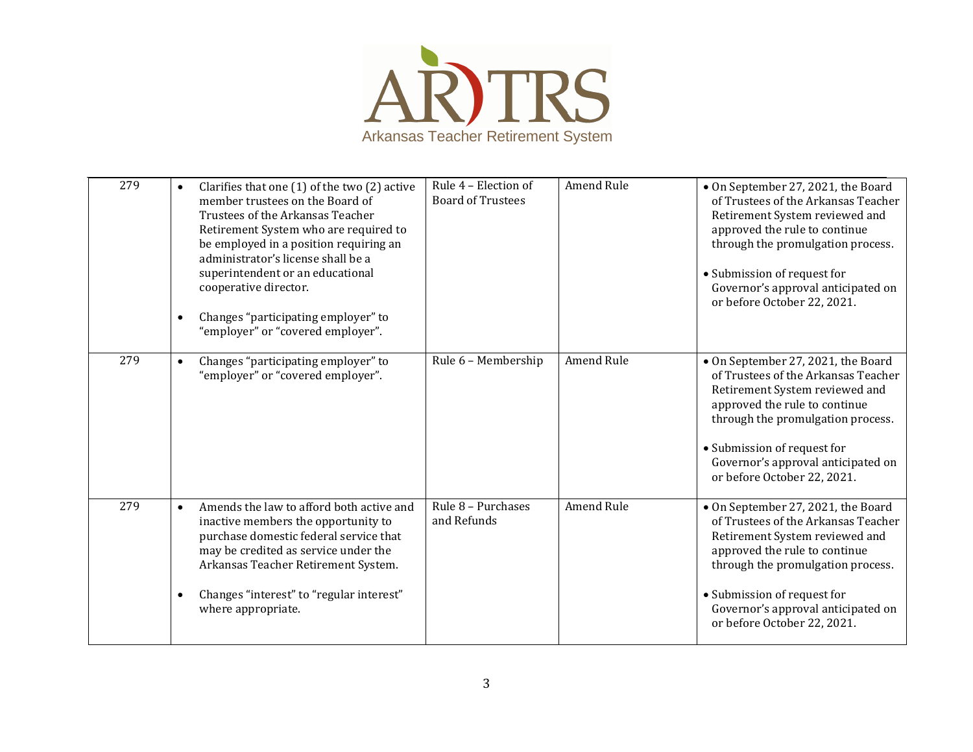

| 279 | $\bullet$<br>$\bullet$ | Clarifies that one (1) of the two (2) active<br>member trustees on the Board of<br>Trustees of the Arkansas Teacher<br>Retirement System who are required to<br>be employed in a position requiring an<br>administrator's license shall be a<br>superintendent or an educational<br>cooperative director.<br>Changes "participating employer" to<br>"employer" or "covered employer". | Rule 4 - Election of<br><b>Board of Trustees</b> | Amend Rule        | • On September 27, 2021, the Board<br>of Trustees of the Arkansas Teacher<br>Retirement System reviewed and<br>approved the rule to continue<br>through the promulgation process.<br>• Submission of request for<br>Governor's approval anticipated on<br>or before October 22, 2021. |
|-----|------------------------|---------------------------------------------------------------------------------------------------------------------------------------------------------------------------------------------------------------------------------------------------------------------------------------------------------------------------------------------------------------------------------------|--------------------------------------------------|-------------------|---------------------------------------------------------------------------------------------------------------------------------------------------------------------------------------------------------------------------------------------------------------------------------------|
| 279 | $\bullet$              | Changes "participating employer" to<br>"employer" or "covered employer".                                                                                                                                                                                                                                                                                                              | Rule 6 - Membership                              | <b>Amend Rule</b> | • On September 27, 2021, the Board<br>of Trustees of the Arkansas Teacher<br>Retirement System reviewed and<br>approved the rule to continue<br>through the promulgation process.<br>• Submission of request for<br>Governor's approval anticipated on<br>or before October 22, 2021. |
| 279 | $\bullet$<br>$\bullet$ | Amends the law to afford both active and<br>inactive members the opportunity to<br>purchase domestic federal service that<br>may be credited as service under the<br>Arkansas Teacher Retirement System.<br>Changes "interest" to "regular interest"<br>where appropriate.                                                                                                            | Rule 8 - Purchases<br>and Refunds                | Amend Rule        | • On September 27, 2021, the Board<br>of Trustees of the Arkansas Teacher<br>Retirement System reviewed and<br>approved the rule to continue<br>through the promulgation process.<br>• Submission of request for<br>Governor's approval anticipated on<br>or before October 22, 2021. |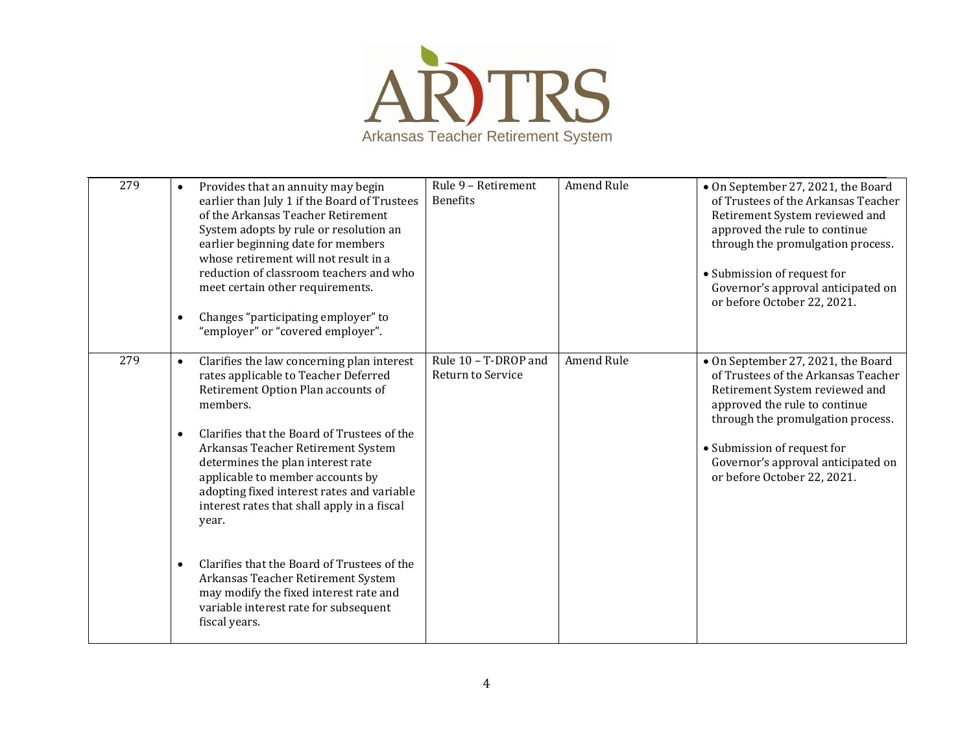

| 279 | Provides that an annuity may begin<br>earlier than July 1 if the Board of Trustees<br>of the Arkansas Teacher Retirement<br>System adopts by rule or resolution an<br>earlier beginning date for members<br>whose retirement will not result in a<br>reduction of classroom teachers and who<br>meet certain other requirements.<br>Changes "participating employer" to<br>$\bullet$<br>"employer" or "covered employer".                                                                                                                                                                                                                | Rule 9 - Retirement<br><b>Benefits</b>    | <b>Amend Rule</b> | • On September 27, 2021, the Board<br>of Trustees of the Arkansas Teacher<br>Retirement System reviewed and<br>approved the rule to continue<br>through the promulgation process.<br>• Submission of request for<br>Governor's approval anticipated on<br>or before October 22, 2021. |
|-----|------------------------------------------------------------------------------------------------------------------------------------------------------------------------------------------------------------------------------------------------------------------------------------------------------------------------------------------------------------------------------------------------------------------------------------------------------------------------------------------------------------------------------------------------------------------------------------------------------------------------------------------|-------------------------------------------|-------------------|---------------------------------------------------------------------------------------------------------------------------------------------------------------------------------------------------------------------------------------------------------------------------------------|
| 279 | Clarifies the law concerning plan interest<br>$\bullet$<br>rates applicable to Teacher Deferred<br>Retirement Option Plan accounts of<br>members.<br>Clarifies that the Board of Trustees of the<br>$\bullet$<br>Arkansas Teacher Retirement System<br>determines the plan interest rate<br>applicable to member accounts by<br>adopting fixed interest rates and variable<br>interest rates that shall apply in a fiscal<br>year.<br>Clarifies that the Board of Trustees of the<br>$\bullet$<br>Arkansas Teacher Retirement System<br>may modify the fixed interest rate and<br>variable interest rate for subsequent<br>fiscal years. | Rule 10 - T-DROP and<br>Return to Service | Amend Rule        | • On September 27, 2021, the Board<br>of Trustees of the Arkansas Teacher<br>Retirement System reviewed and<br>approved the rule to continue<br>through the promulgation process.<br>• Submission of request for<br>Governor's approval anticipated on<br>or before October 22, 2021. |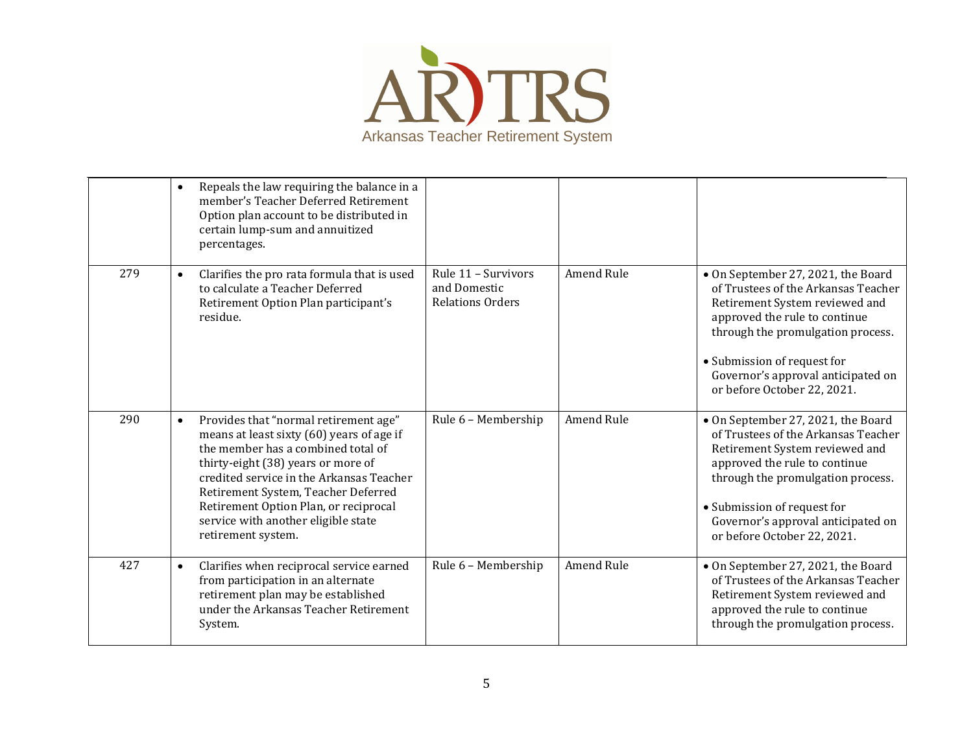

|     | Repeals the law requiring the balance in a<br>$\bullet$<br>member's Teacher Deferred Retirement<br>Option plan account to be distributed in<br>certain lump-sum and annuitized<br>percentages.                                                                                                                                                                       |                                                                |                   |                                                                                                                                                                                                                                                                                       |
|-----|----------------------------------------------------------------------------------------------------------------------------------------------------------------------------------------------------------------------------------------------------------------------------------------------------------------------------------------------------------------------|----------------------------------------------------------------|-------------------|---------------------------------------------------------------------------------------------------------------------------------------------------------------------------------------------------------------------------------------------------------------------------------------|
| 279 | Clarifies the pro rata formula that is used<br>$\bullet$<br>to calculate a Teacher Deferred<br>Retirement Option Plan participant's<br>residue.                                                                                                                                                                                                                      | Rule 11 - Survivors<br>and Domestic<br><b>Relations Orders</b> | <b>Amend Rule</b> | • On September 27, 2021, the Board<br>of Trustees of the Arkansas Teacher<br>Retirement System reviewed and<br>approved the rule to continue<br>through the promulgation process.<br>• Submission of request for<br>Governor's approval anticipated on<br>or before October 22, 2021. |
| 290 | Provides that "normal retirement age"<br>$\bullet$<br>means at least sixty (60) years of age if<br>the member has a combined total of<br>thirty-eight (38) years or more of<br>credited service in the Arkansas Teacher<br>Retirement System, Teacher Deferred<br>Retirement Option Plan, or reciprocal<br>service with another eligible state<br>retirement system. | Rule 6 - Membership                                            | <b>Amend Rule</b> | • On September 27, 2021, the Board<br>of Trustees of the Arkansas Teacher<br>Retirement System reviewed and<br>approved the rule to continue<br>through the promulgation process.<br>• Submission of request for<br>Governor's approval anticipated on<br>or before October 22, 2021. |
| 427 | Clarifies when reciprocal service earned<br>$\bullet$<br>from participation in an alternate<br>retirement plan may be established<br>under the Arkansas Teacher Retirement<br>System.                                                                                                                                                                                | Rule 6 - Membership                                            | Amend Rule        | • On September 27, 2021, the Board<br>of Trustees of the Arkansas Teacher<br>Retirement System reviewed and<br>approved the rule to continue<br>through the promulgation process.                                                                                                     |